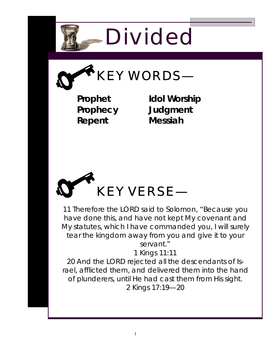

**KEY WORDS—** 

**Prophet Prophecy Repent** 

**Idol Worship Judgment Messiah** 



11 Therefore the LORD said to Solomon, "Because you have done this, and have not kept My covenant and My statutes, which I have commanded you, I will surely tear the kingdom away from you and give it to your servant."

1 Kings 11:11

20 And the LORD rejected all the descendants of Israel, afflicted them, and delivered them into the hand of plunderers, until He had cast them from His sight. 2 Kings 17:19—20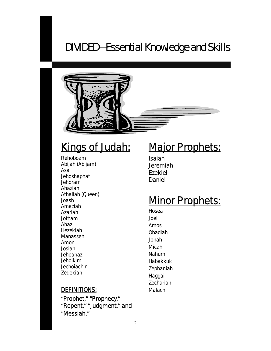### DIVIDED—Essential Knowledge and Skills



## Kings of Judah:<br>Rehoboam

Abijah (Abijam) Asa **Jehoshaphat** Jehoram Ahaziah Athaliah (Queen) Joash Amaziah Azariah Jotham Ahaz Hezekiah Manasseh Amon Josiah Jehoahaz Jehoikim **Jechoiachin** Zedekiah

# **Major Prophets:**<br>Isaiah

Jeremiah Ezekiel Daniel

## **Minor Prophets:**<br>Hosea

Joel Amos Obadiah Jonah Micah Nahum Habakkuk Zephaniah Haggai Zechariah Malachi

#### DEFINITIONS:

"Prophet," "Prophecy," "Repent," "Judgment," and "Messiah."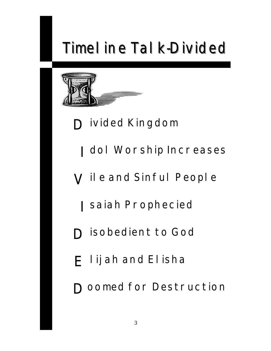# **Timel ine Tal k-Divided**



- **D** ivided Kingdom
	- I dol Worship Increases
- V il e and Sinful People
	- I saiah Prophecied
- **D** isobedient to God
- E lijah and Elisha
- **D** comed for Destruction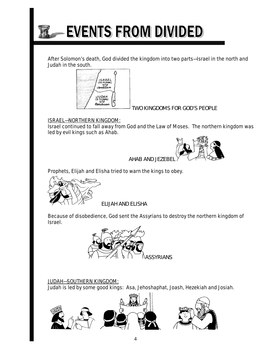

After Solomon's death, God divided the kingdom into two parts—Israel in the north and Judah in the south.



*TWO KINGDOMS FOR GOD'S PEOPLE* 

#### ISRAEL—NORTHERN KINGDOM:

I

Israel continued to fall away from God and the Law of Moses. The northern kingdom was led by evil kings such as Ahab.



*AHAB AND JEZEBEL*

Prophets, Elijah and Elisha tried to warn the kings to obey.



*ELIJAH AND ELISHA* 

Because of disobedience, God sent the Assyrians to destroy the northern kingdom of Israel.



#### JUDAH—SOUTHERN KINGDOM:

Judah is led by some good kings: Asa, Jehoshaphat, Joash, Hezekiah and Josiah.

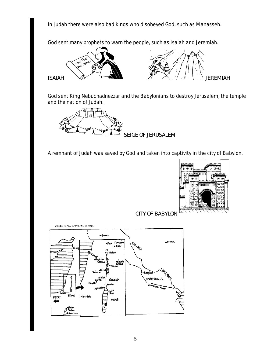In Judah there were also bad kings who disobeyed God, such as Manasseh.

God sent many prophets to warn the people, such as Isaiah and Jeremiah.



God sent King Nebuchadnezzar and the Babylonians to destroy Jerusalem, the temple and the nation of Judah.

*SEIGE OF JERUSALEM* 

A remnant of Judah was saved by God and taken into captivity in the city of Babylon.



 *CITY OF BABYLON*

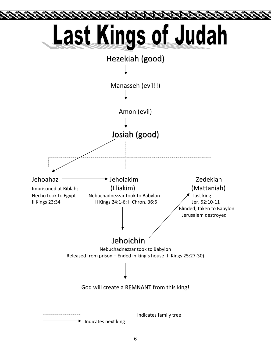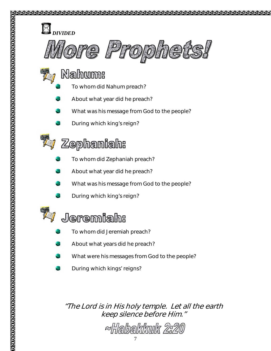

- Nahum:
	- To whom did Nahum preach?
	- About what year did he preach?
	- What was his message from God to the people?
	- During which king's reign?



### $Z$ ephaniah:

- To whom did Zephaniah preach?
- About what year did he preach?
- What was his message from God to the people?
- During which king's reign?



### Jeremiah:

- To whom did Jeremiah preach?
- About what years did he preach?
- What were his messages from God to the people?
- During which kings' reigns?

### "The Lord is in His holy temple. Let all the earth keep silence before Him."

~Habakkuk 2:20